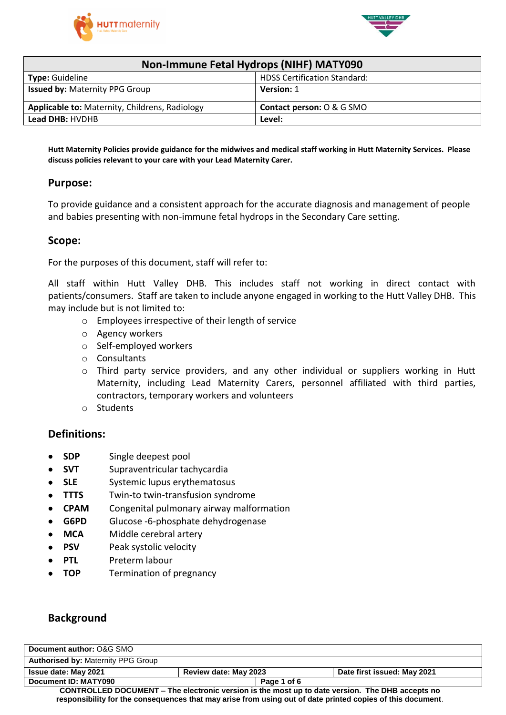



| Non-Immune Fetal Hydrops (NIHF) MATY090        |                                      |  |
|------------------------------------------------|--------------------------------------|--|
| <b>Type: Guideline</b>                         | <b>HDSS Certification Standard:</b>  |  |
| <b>Issued by: Maternity PPG Group</b>          | Version: 1                           |  |
| Applicable to: Maternity, Childrens, Radiology | <b>Contact person: O &amp; G SMO</b> |  |
| Lead DHB: HVDHB                                | Level:                               |  |

Hutt Maternity Policies provide guidance for the midwives and medical staff working in Hutt Maternity Services. Please **discuss policies relevant to your care with your Lead Maternity Carer.**

### **Purpose:**

To provide guidance and a consistent approach for the accurate diagnosis and management of people and babies presenting with non-immune fetal hydrops in the Secondary Care setting.

#### **Scope:**

For the purposes of this document, staff will refer to:

All staff within Hutt Valley DHB. This includes staff not working in direct contact with patients/consumers. Staff are taken to include anyone engaged in working to the Hutt Valley DHB. This may include but is not limited to:

- o Employees irrespective of their length of service
- o Agency workers
- o Self-employed workers
- o Consultants
- o Third party service providers, and any other individual or suppliers working in Hutt Maternity, including Lead Maternity Carers, personnel affiliated with third parties, contractors, temporary workers and volunteers
- o Students

#### **Definitions:**

- **SDP** Single deepest pool
- **SVT** Supraventricular tachycardia
- **SLE** Systemic lupus erythematosus
- **TTTS** Twin-to twin-transfusion syndrome
- **CPAM** Congenital pulmonary airway malformation
- **G6PD** Glucose -6-phosphate dehydrogenase
- **MCA** Middle cerebral artery
- **PSV** Peak systolic velocity
- **PTL** Preterm labour
- **TOP** Termination of pregnancy

### **Background**

| Document author: O&G SMO                                                                                   |                       |                             |
|------------------------------------------------------------------------------------------------------------|-----------------------|-----------------------------|
| <b>Authorised by: Maternity PPG Group</b>                                                                  |                       |                             |
| <b>Issue date: May 2021</b>                                                                                | Review date: May 2023 | Date first issued: May 2021 |
| Document ID: MATY090                                                                                       | Page 1 of 6           |                             |
| <b>CONTROLLED DOCUMENT – The electronic version is the most up to date version. The DHB accepts no</b>     |                       |                             |
| responsibility for the consequences that may arise from using out of date printed copies of this document. |                       |                             |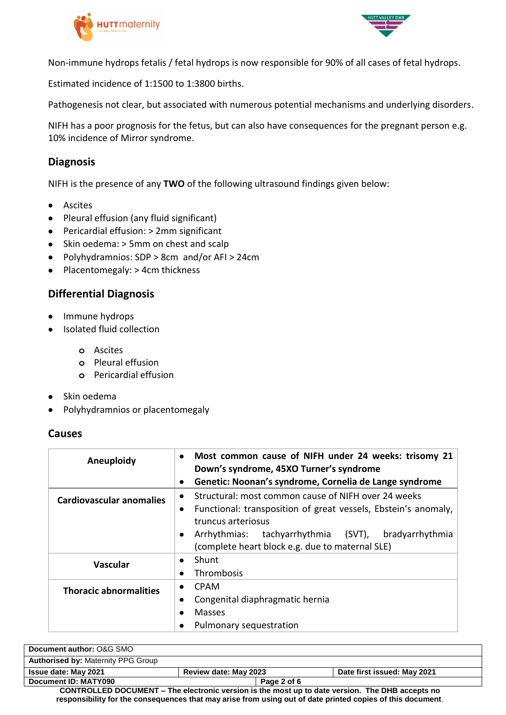



Non-immune hydrops fetalis / fetal hydrops is now responsible for 90% of all cases of fetal hydrops.

Estimated incidence of 1:1500 to 1:3800 births.

Pathogenesis not clear, but associated with numerous potential mechanisms and underlying disorders.

NIFH has a poor prognosis for the fetus, but can also have consequences for the pregnant person e.g. 10% incidence of Mirror syndrome.

### **Diagnosis**

NIFH is the presence of any **TWO** of the following ultrasound findings given below:

- **•** Ascites
- Pleural effusion (any fluid significant)
- Pericardial effusion: > 2mm significant
- Skin oedema: > 5mm on chest and scalp
- Polyhydramnios: SDP > 8cm and/or AFI > 24cm
- Placentomegaly: > 4cm thickness

# **Differential Diagnosis**

- Immune hydrops
- Isolated fluid collection
	- **o** Ascites
	- **o** Pleural effusion
	- **o** Pericardial effusion
- Skin oedema
- Polyhydramnios or placentomegaly

### **Causes**

| Aneuploidy                    | Most common cause of NIFH under 24 weeks: trisomy 21<br>Down's syndrome, 45XO Turner's syndrome<br>Genetic: Noonan's syndrome, Cornelia de Lange syndrome                                                                                                |  |
|-------------------------------|----------------------------------------------------------------------------------------------------------------------------------------------------------------------------------------------------------------------------------------------------------|--|
| Cardiovascular anomalies      | Structural: most common cause of NIFH over 24 weeks<br>Functional: transposition of great vessels, Ebstein's anomaly,<br>truncus arteriosus<br>tachyarrhythmia (SVT), bradyarrhythmia<br>Arrhythmias:<br>(complete heart block e.g. due to maternal SLE) |  |
| <b>Vascular</b>               | Shunt<br>Thrombosis                                                                                                                                                                                                                                      |  |
| <b>Thoracic abnormalities</b> | <b>CPAM</b><br>٠<br>Congenital diaphragmatic hernia<br>٠<br><b>Masses</b><br>Pulmonary sequestration<br>٠                                                                                                                                                |  |

| Document author: O&G SMO                                                                        |                       |             |                             |
|-------------------------------------------------------------------------------------------------|-----------------------|-------------|-----------------------------|
| <b>Authorised by: Maternity PPG Group</b>                                                       |                       |             |                             |
| <b>Issue date: May 2021</b>                                                                     | Review date: May 2023 |             | Date first issued: May 2021 |
| Document ID: MATY090                                                                            |                       | Page 2 of 6 |                             |
| CONTROLLED DOCUMENT – The electronic version is the most up to date version. The DHB accepts no |                       |             |                             |

**CONTROLLED DOCUMENT – The electronic version is the most up to date version. The DHB accepts no responsibility for the consequences that may arise from using out of date printed copies of this document**.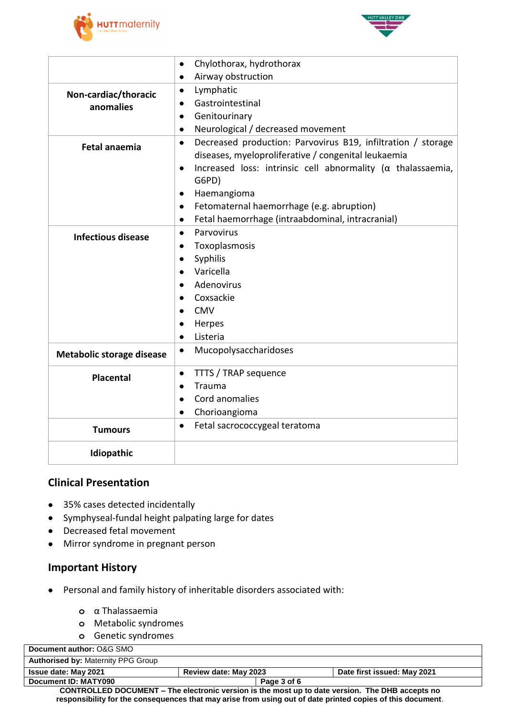



|                                  | Chylothorax, hydrothorax<br>$\bullet$                                            |  |  |
|----------------------------------|----------------------------------------------------------------------------------|--|--|
|                                  | Airway obstruction<br>$\bullet$                                                  |  |  |
| Non-cardiac/thoracic             | Lymphatic<br>$\bullet$                                                           |  |  |
| anomalies                        | Gastrointestinal<br>٠                                                            |  |  |
|                                  | Genitourinary<br>$\bullet$                                                       |  |  |
|                                  | Neurological / decreased movement<br>$\bullet$                                   |  |  |
| <b>Fetal anaemia</b>             | Decreased production: Parvovirus B19, infiltration / storage<br>$\bullet$        |  |  |
|                                  | diseases, myeloproliferative / congenital leukaemia                              |  |  |
|                                  | Increased loss: intrinsic cell abnormality ( $\alpha$ thalassaemia,<br>$\bullet$ |  |  |
|                                  | G6PD)                                                                            |  |  |
|                                  | Haemangioma<br>$\bullet$                                                         |  |  |
|                                  | Fetomaternal haemorrhage (e.g. abruption)<br>$\bullet$                           |  |  |
|                                  | Fetal haemorrhage (intraabdominal, intracranial)<br>$\bullet$                    |  |  |
| <b>Infectious disease</b>        | Parvovirus<br>$\bullet$                                                          |  |  |
|                                  | Toxoplasmosis                                                                    |  |  |
|                                  | Syphilis<br>$\bullet$                                                            |  |  |
|                                  | Varicella<br>$\bullet$                                                           |  |  |
|                                  | Adenovirus                                                                       |  |  |
|                                  | Coxsackie                                                                        |  |  |
|                                  | <b>CMV</b>                                                                       |  |  |
|                                  | Herpes                                                                           |  |  |
|                                  | Listeria<br>$\bullet$                                                            |  |  |
| <b>Metabolic storage disease</b> | Mucopolysaccharidoses<br>$\bullet$                                               |  |  |
| <b>Placental</b>                 | TTTS / TRAP sequence<br>$\bullet$                                                |  |  |
|                                  | Trauma<br>$\bullet$                                                              |  |  |
|                                  | Cord anomalies<br>$\bullet$                                                      |  |  |
|                                  | Chorioangioma                                                                    |  |  |
| <b>Tumours</b>                   | Fetal sacrococcygeal teratoma<br>$\bullet$                                       |  |  |
| Idiopathic                       |                                                                                  |  |  |

# **Clinical Presentation**

- 35% cases detected incidentally
- Symphyseal-fundal height palpating large for dates
- Decreased fetal movement
- Mirror syndrome in pregnant person

### **Important History**

- Personal and family history of inheritable disorders associated with:
	- **o** α Thalassaemia
	- **o** Metabolic syndromes
	- **o** Genetic syndromes

| Document author: O&G SMO                                                                                   |                       |                             |  |
|------------------------------------------------------------------------------------------------------------|-----------------------|-----------------------------|--|
| <b>Authorised by: Maternity PPG Group</b>                                                                  |                       |                             |  |
| <b>Issue date: May 2021</b>                                                                                | Review date: May 2023 | Date first issued: May 2021 |  |
| Document ID: MATY090                                                                                       | Page 3 of 6           |                             |  |
| CONTROLLED DOCUMENT - The electronic version is the most up to date version. The DHB accepts no            |                       |                             |  |
| responsibility for the consequences that may arise from using out of date printed copies of this document. |                       |                             |  |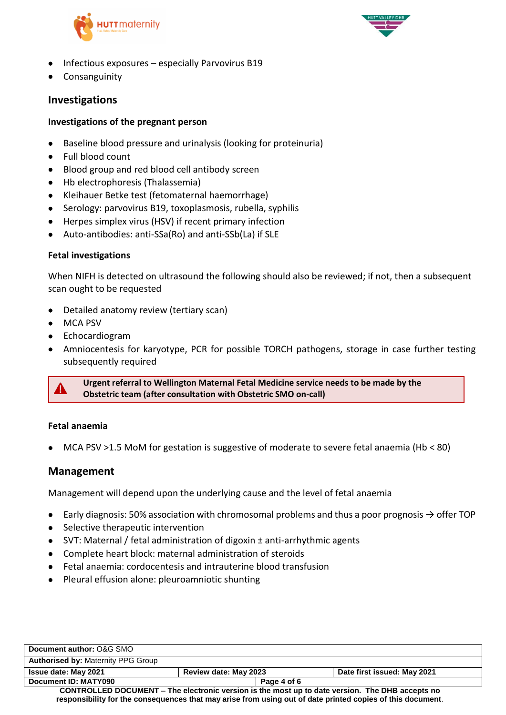



- $\bullet$  Infectious exposures especially Parvovirus B19
- **•** Consanguinity

# **Investigations**

### **Investigations of the pregnant person**

- Baseline blood pressure and urinalysis (looking for proteinuria)
- Full blood count
- Blood group and red blood cell antibody screen
- Hb electrophoresis (Thalassemia)
- Kleihauer Betke test (fetomaternal haemorrhage)
- Serology: parvovirus B19, toxoplasmosis, rubella, syphilis
- Herpes simplex virus (HSV) if recent primary infection
- Auto-antibodies: anti-SSa(Ro) and anti-SSb(La) if SLE

### **Fetal investigations**

When NIFH is detected on ultrasound the following should also be reviewed; if not, then a subsequent scan ought to be requested

- Detailed anatomy review (tertiary scan)
- MCA PSV
- Echocardiogram
- Amniocentesis for karyotype, PCR for possible TORCH pathogens, storage in case further testing subsequently required



**Urgent referral to Wellington Maternal Fetal Medicine service needs to be made by the Obstetric team (after consultation with Obstetric SMO on-call)**

### **Fetal anaemia**

MCA PSV >1.5 MoM for gestation is suggestive of moderate to severe fetal anaemia (Hb < 80)

### **Management**

Management will depend upon the underlying cause and the level of fetal anaemia

- $\bullet$  Early diagnosis: 50% association with chromosomal problems and thus a poor prognosis  $\rightarrow$  offer TOP
- Selective therapeutic intervention
- SVT: Maternal / fetal administration of digoxin ± anti-arrhythmic agents
- Complete heart block: maternal administration of steroids
- Fetal anaemia: cordocentesis and intrauterine blood transfusion
- Pleural effusion alone: pleuroamniotic shunting

| Document author: O&G SMO                                                                                                                                                                                           |                       |             |                             |
|--------------------------------------------------------------------------------------------------------------------------------------------------------------------------------------------------------------------|-----------------------|-------------|-----------------------------|
| <b>Authorised by: Maternity PPG Group</b>                                                                                                                                                                          |                       |             |                             |
| <b>Issue date: May 2021</b>                                                                                                                                                                                        | Review date: May 2023 |             | Date first issued: May 2021 |
| Document ID: MATY090                                                                                                                                                                                               |                       | Page 4 of 6 |                             |
| CONTROLLED DOCUMENT – The electronic version is the most up to date version. The DHB accepts no<br>the contract of the contract of the contract of the contract of the contract of the contract of the contract of |                       |             |                             |

**responsibility for the consequences that may arise from using out of date printed copies of this document**.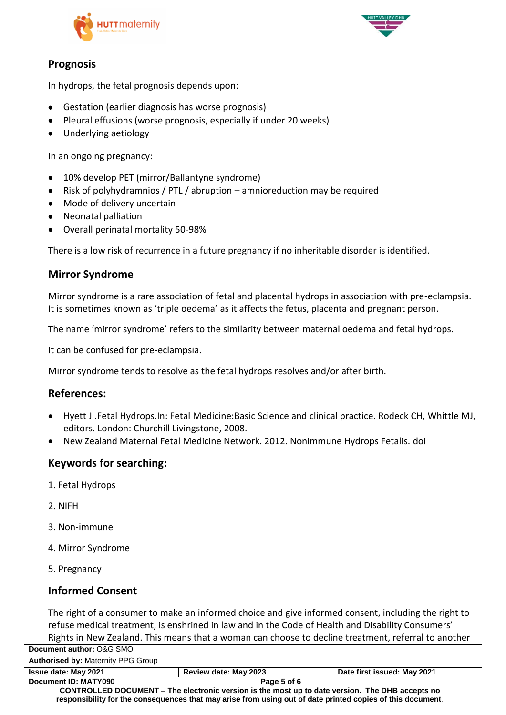



# **Prognosis**

In hydrops, the fetal prognosis depends upon:

- Gestation (earlier diagnosis has worse prognosis)
- Pleural effusions (worse prognosis, especially if under 20 weeks)
- Underlying aetiology

In an ongoing pregnancy:

- 10% develop PET (mirror/Ballantyne syndrome)
- Risk of polyhydramnios / PTL / abruption amnioreduction may be required
- Mode of delivery uncertain
- Neonatal palliation
- Overall perinatal mortality 50-98%

There is a low risk of recurrence in a future pregnancy if no inheritable disorder is identified.

# **Mirror Syndrome**

Mirror syndrome is a rare association of fetal and placental hydrops in association with pre-eclampsia. It is sometimes known as 'triple oedema' as it affects the fetus, placenta and pregnant person.

The name 'mirror syndrome' refers to the similarity between maternal oedema and fetal hydrops.

It can be confused for pre-eclampsia.

Mirror syndrome tends to resolve as the fetal hydrops resolves and/or after birth.

### **References:**

- Hyett J .Fetal Hydrops.In: Fetal Medicine:Basic Science and clinical practice. Rodeck CH, Whittle MJ, editors. London: Churchill Livingstone, 2008.
- New Zealand Maternal Fetal Medicine Network. 2012. Nonimmune Hydrops Fetalis. [doi](mailto:https://www.healthpoint.co.nz/downloadinfo,138318,otherList,o3n9v6qvvgf8x79jo1ro.do)

### **Keywords for searching:**

- 1. Fetal Hydrops
- 2. NIFH
- 3. Non-immune
- 4. Mirror Syndrome
- 5. Pregnancy

# **Informed Consent**

The right of a consumer to make an informed choice and give informed consent, including the right to refuse medical treatment, is enshrined in law and in the Code of Health and Disability Consumers' Rights in New Zealand. This means that a woman can choose to decline treatment, referral to another

| Document author: O&G SMO                                                                                   |                       |                             |  |
|------------------------------------------------------------------------------------------------------------|-----------------------|-----------------------------|--|
| <b>Authorised by: Maternity PPG Group</b>                                                                  |                       |                             |  |
| <b>Issue date: May 2021</b>                                                                                | Review date: May 2023 | Date first issued: May 2021 |  |
| Document ID: MATY090                                                                                       | Page 5 of 6           |                             |  |
| CONTROLLED DOCUMENT - The electronic version is the most up to date version. The DHB accepts no            |                       |                             |  |
| responsibility for the consequences that may arise from using out of date printed copies of this document. |                       |                             |  |